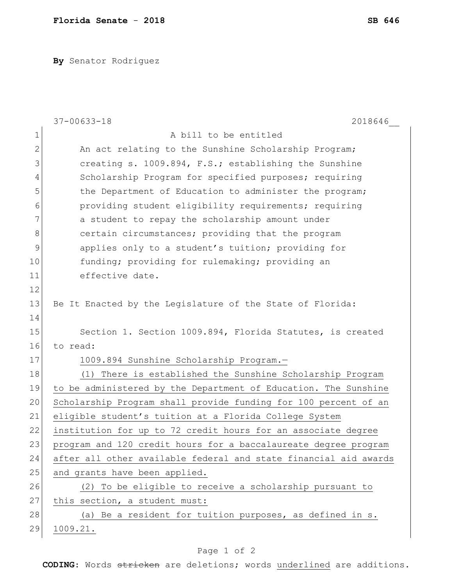**By** Senator Rodriguez

|              | $37 - 00633 - 18$<br>2018646                                     |
|--------------|------------------------------------------------------------------|
| $\mathbf 1$  | A bill to be entitled                                            |
| $\mathbf{2}$ | An act relating to the Sunshine Scholarship Program;             |
| 3            | creating s. 1009.894, F.S.; establishing the Sunshine            |
| 4            | Scholarship Program for specified purposes; requiring            |
| 5            | the Department of Education to administer the program;           |
| 6            | providing student eligibility requirements; requiring            |
| 7            | a student to repay the scholarship amount under                  |
| 8            | certain circumstances; providing that the program                |
| 9            | applies only to a student's tuition; providing for               |
| 10           | funding; providing for rulemaking; providing an                  |
| 11           | effective date.                                                  |
| 12           |                                                                  |
| 13           | Be It Enacted by the Legislature of the State of Florida:        |
| 14           |                                                                  |
| 15           | Section 1. Section 1009.894, Florida Statutes, is created        |
| 16           | to read:                                                         |
| 17           | 1009.894 Sunshine Scholarship Program.-                          |
| 18           | (1) There is established the Sunshine Scholarship Program        |
| 19           | to be administered by the Department of Education. The Sunshine  |
| 20           | Scholarship Program shall provide funding for 100 percent of an  |
| 21           | eligible student's tuition at a Florida College System           |
| 22           | institution for up to 72 credit hours for an associate degree    |
| 23           | program and 120 credit hours for a baccalaureate degree program  |
| 24           | after all other available federal and state financial aid awards |
| 25           | and grants have been applied.                                    |
| 26           | (2) To be eligible to receive a scholarship pursuant to          |
| 27           | this section, a student must:                                    |
| 28           | (a) Be a resident for tuition purposes, as defined in s.         |
| 29           | 1009.21.                                                         |

## Page 1 of 2

**CODING**: Words stricken are deletions; words underlined are additions.